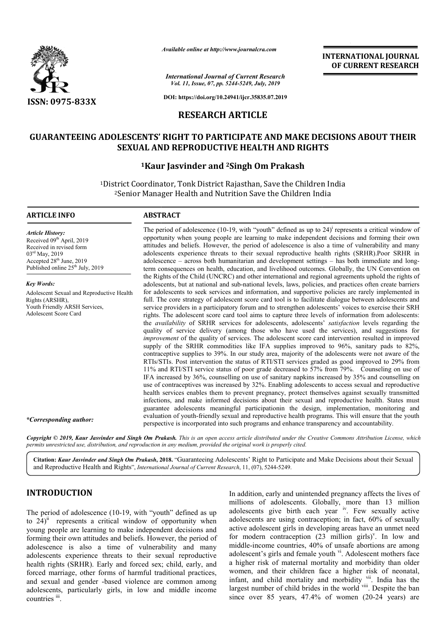

*Available online at http://www.journalcra.com*

*International Journal of Current Research Vol. 11, Issue, 07, pp. 5244-5249, July, 2019*

**DOI: https://doi.org/10.24941/ijcr.35835.07.2019**

# **RESEARCH ARTICLE**

# **GUARANTEEING ADOLESCENTS' RIGHT TO PARTICIPATE AND MAKE DECISIONS ABOUT THEIR GUARANTEEING TO PARTICIPATE SEXUAL SEXUAL AND REPRODUCTIVE HEALTH AND RIGHTS**

# **1Kaur Kaur Jasvinder and 2Singh Om Prakash**

<sup>1</sup>District Coordinator, Tonk District Rajasthan, Save the Children India<br><sup>2</sup>Senior Manager Health and Nutrition Save the Children India 2Senior Manager Health and Nutrition Save the Children India

## **ARTICLE INFO ABSTRACT**

*Article History: Article History:* Received 09<sup>th</sup> April, 2019 Received in revised form Received in revised form 03<sup>rd</sup> May, 2019 Accepted 28<sup>th</sup> June, 2019 Published online  $25<sup>th</sup>$  July, 2019

*Key Words:* Adolescent Sexual and Reproductive Health Rights (ARSHR), Youth Friendly ARSH Services, Adolescent Score Card

The period of adolescence (10-19, with "youth" defined as up to  $24$ )<sup>i</sup> represents a critical window of opportunity when young people are learning to make independent decisions and forming their own attitudes and beliefs. However, the period of adolescence is also a time of vulnerability and many adolescents experience threats to their sexual reproductive health rights (SRHR).Poor SRHR in adolescence – across both humanitarian and development settings term consequences on health, education, and livelihood outcomes. Globally, the UN Convention on the Rights of the Child (UNCRC) and other international and regional agreements uphold the rights of the Rights of the Child (UNCRC) and other international and regional agreements uphold the rights of adolescents, but at national and sub-national levels, laws, policies, and practices often create barriers for adolescents to seek services and information, and supportive policies are rarely implemented in full. The core strategy of adolescent score card tool is to facilitate dialogue between adolescents and service providers in a participatory forum and to strengthen adolescents' voices to exercise their SRH rights. The adolescent score card tool aims to capture three levels of information from adolescents: the *availability* of SRHR services for adolescents, adolescents' quality of service delivery (among those who have used t the services), and suggestions for *improvement* of the quality of services. The adolescent score card intervention resulted in improved supply of the SRHR commodities like IFA supplies improved to 96%, sanitary pads to 82%, contraceptive supplies to 39%. In our study area, majority of the adolescents were not aware of the RTIs/STIs. Post intervention the status of RTI/STI services graded as good improved to 29% from 11% and RTI/STI service status of poor grade decreased to 57% from 79%. Counseling IFA increased by 36%, counselling on use of sanitary napkins increased by 35% and counselling on use of contraceptives was increased by 32%. Enabling adolescents to access sexual and reproductive health services enables them to prevent pregnancy, protect themselves against sexually transmitted infections, and make informed decisions about their sexual and reproductive health. States must guarantee adolescents meaningful participationin the design, implementation, monitoring and evaluation of youth-friendly sexual and reproductive health programs. This will ensure that the youth perspective is incorporated into such programs and enhance transparency and accountability. opportunity when young people are learning to make independent decisions and forming their own<br>attitudes and beliefs. However, the period of adolescence is also a time of vulnerability and many<br>adolescents experience threa term consequences on health, education, and livelihood outcomes. Globally, the UN Convention on the Rights of the Child (UNCRC) and other international and regional agreements uphold the rights of adolescents, but at natio quality of service delivery (among those who have used the services), and suggestions for *improvement* of the quality of services. The adolescent score card intervention resulted in improved supply of the SRHR commodities IFA increased by 36%, counselling on use of sanitary napkins increased by 35% and counselling<br>use of contraceptives was increased by 32%. Enabling adolescents to access sexual and reproduct<br>health services enables them to

**INTERNATIONAL JOURNAL OF CURRENT RESEARCH**

*\*Corresponding author:*

Copyright © 2019, Kaur Jasvinder and Singh Om Prakash. This is an open access article distributed under the Creative Commons Attribution License, which permits unrestricted use, distribution, and reproduction in any medium, provided the original work is properly cited.

Citation: Kaur Jasvinder and Singh Om Prakash, 2018. "Guaranteeing Adolescents' Right to Participate and Make Decisions about their Sexual and Reproductive Health and Rights", *International Journal of Current Research* , 11, (07), 5244-5249.

## **INTRODUCTION**

The period of adolescence (10-19, with "youth" defined as up to  $24$ <sup>ii</sup> represents a critical window of opportunity when young people are learning to make independent decisions and forming their own attitudes and beliefs. However, the period of adolescence is also a time of vulnerability and many adolescents experience threats to their sexual reproductive health rights (SRHR). Early and forced sex; child, early, and forced marriage, other forms of harmful traditional practices, and sexual and gender -based violence are adolescents, particularly girls, in low and middle income countries iii e (10-19, with "youth" defined as up<br>itical window of opportunity when<br>g to make independent decisions and<br>es and beliefs. However, the period of<br>time of vulnerability and many<br>hreats to their sexual reproductive<br>rly and f In addition, early and unintended pregnancy affects the lives of millions of adolescents. Globally, more than 13 million adolescents give birth each year iv. Few sexually active adolescents are using contraception; in fact, 60% of sexually active adolescent girls in developing areas have an unmet need adolescents are using contraception; in fact, 60% of sexually active adolescent girls in developing areas have an unmet need for modern contraception (23 million girls)<sup>v</sup>. In low and middle-income countries, 40% of unsafe abortions are among middle-income countries, 40% of unsafe abortions are among adolescent's girls and female youth <sup>vi</sup>. Adolescent mothers face a higher risk of maternal mortality and morbidity than older women, and their children face a higher risk of neonatal, a higher risk of maternal mortality and morbidity than older women, and their children face a higher risk of neonatal, infant, and child mortality and morbidity <sup>vii</sup>. India has the largest number of child brides in the world viii. Despite the ban since over  $85$  years,  $47.4\%$  of women  $(20-24$  years) are arly and unintended pregnancy affects the lives of adolescents. Globally, more than 13 million give birth each year  $\frac{iv}{ }$ . Few sexually active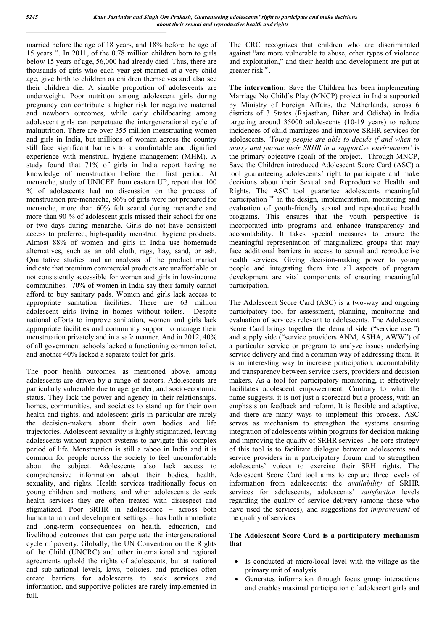married before the age of 18 years, and 18% before the age of 15 years ix. In 2011, of the 0.78 million children born to girls below 15 years of age, 56,000 had already died. Thus, there are thousands of girls who each year get married at a very child age, give birth to children as children themselves and also see their children die. A sizable proportion of adolescents are underweight. Poor nutrition among adolescent girls during pregnancy can contribute a higher risk for negative maternal and newborn outcomes, while early childbearing among adolescent girls can perpetuate the intergenerational cycle of malnutrition. There are over 355 million menstruating women and girls in India, but millions of women across the country still face significant barriers to a comfortable and dignified experience with menstrual hygiene management (MHM). A study found that 71% of girls in India report having no knowledge of menstruation before their first period. At menarche, study of UNICEF from eastern UP, report that 100 % of adolescents had no discussion on the process of menstruation pre-menarche, 86% of girls were not prepared for menarche, more than 60% felt scared during menarche and more than 90 % of adolescent girls missed their school for one or two days during menarche. Girls do not have consistent access to preferred, high-quality menstrual hygiene products. Almost 88% of women and girls in India use homemade alternatives, such as an old cloth, rags, hay, sand, or ash. Qualitative studies and an analysis of the product market indicate that premium commercial products are unaffordable or not consistently accessible for women and girls in low-income communities. 70% of women in India say their family cannot afford to buy sanitary pads. Women and girls lack access to appropriate sanitation facilities. There are 63 million adolescent girls living in homes without toilets. Despite national efforts to improve sanitation, women and girls lack appropriate facilities and community support to manage their menstruation privately and in a safe manner. And in 2012, 40% of all government schools lacked a functioning common toilet, and another 40% lacked a separate toilet for girls.

The poor health outcomes, as mentioned above, among adolescents are driven by a range of factors. Adolescents are particularly vulnerable due to age, gender, and socio-economic status. They lack the power and agency in their relationships, homes, communities, and societies to stand up for their own health and rights, and adolescent girls in particular are rarely the decision-makers about their own bodies and life trajectories. Adolescent sexuality is highly stigmatized, leaving adolescents without support systems to navigate this complex period of life. Menstruation is still a taboo in India and it is common for people across the society to feel uncomfortable about the subject. Adolescents also lack access to comprehensive information about their bodies, health, sexuality, and rights. Health services traditionally focus on young children and mothers, and when adolescents do seek health services they are often treated with disrespect and stigmatized. Poor SRHR in adolescence – across both humanitarian and development settings – has both immediate and long-term consequences on health, education, and livelihood outcomes that can perpetuate the intergenerational cycle of poverty. Globally, the UN Convention on the Rights of the Child (UNCRC) and other international and regional agreements uphold the rights of adolescents, but at national and sub-national levels, laws, policies, and practices often create barriers for adolescents to seek services and information, and supportive policies are rarely implemented in full.

The CRC recognizes that children who are discriminated against "are more vulnerable to abuse, other types of violence and exploitation," and their health and development are put at greater risk <sup>xi</sup>.

**The intervention:** Save the Children has been implementing Marriage No Child's Play (MNCP) project in India supported by Ministry of Foreign Affairs, the Netherlands, across 6 districts of 3 States (Rajasthan, Bihar and Odisha) in India targeting around 35000 adolescents (10-19 years) to reduce incidences of child marriages and improve SRHR services for adolescents. *'Young people are able to decide if and when to marry and pursue their SRHR in a supportive environment'* is the primary objective (goal) of the project. Through MNCP, Save the Children introduced Adolescent Score Card (ASC) a tool guaranteeing adolescents' right to participate and make decisions about their Sexual and Reproductive Health and Rights. The ASC tool guarantee adolescents meaningful participation <sup>xii</sup> in the design, implementation, monitoring and evaluation of youth-friendly sexual and reproductive health programs. This ensures that the youth perspective is incorporated into programs and enhance transparency and accountability. It takes special measures to ensure the meaningful representation of marginalized groups that may face additional barriers in access to sexual and reproductive health services. Giving decision-making power to young people and integrating them into all aspects of program development are vital components of ensuring meaningful participation.

The Adolescent Score Card (ASC) is a two-way and ongoing participatory tool for assessment, planning, monitoring and evaluation of services relevant to adolescents. The Adolescent Score Card brings together the demand side ("service user") and supply side ("service providers ANM, ASHA, AWW") of a particular service or program to analyze issues underlying service delivery and find a common way of addressing them. It is an interesting way to increase participation, accountability and transparency between service users, providers and decision makers. As a tool for participatory monitoring, it effectively facilitates adolescent empowerment. Contrary to what the name suggests, it is not just a scorecard but a process, with an emphasis on feedback and reform. It is flexible and adaptive, and there are many ways to implement this process. ASC serves as mechanism to strengthen the systems ensuring integration of adolescents within programs for decision making and improving the quality of SRHR services. The core strategy of this tool is to facilitate dialogue between adolescents and service providers in a participatory forum and to strengthen adolescents' voices to exercise their SRH rights. The Adolescent Score Card tool aims to capture three levels of information from adolescents: the *availability* of SRHR services for adolescents, adolescents' *satisfaction* levels regarding the quality of service delivery (among those who have used the services), and suggestions for *improvement* of the quality of services.

## **The Adolescent Score Card is a participatory mechanism that**

- Is conducted at micro/local level with the village as the primary unit of analysis
- Generates information through focus group interactions and enables maximal participation of adolescent girls and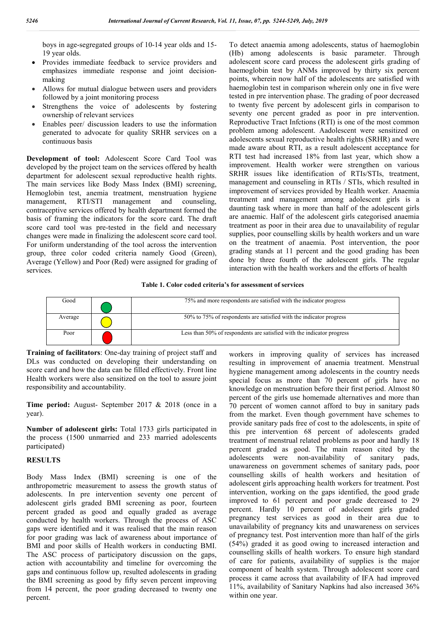boys in age-segregated groups of 10-14 year olds and 15- 19 year olds.

- Provides immediate feedback to service providers and emphasizes immediate response and joint decisionmaking
- Allows for mutual dialogue between users and providers followed by a joint monitoring process
- Strengthens the voice of adolescents by fostering ownership of relevant services
- Enables peer/ discussion leaders to use the information generated to advocate for quality SRHR services on a continuous basis

**Development of tool:** Adolescent Score Card Tool was developed by the project team on the services offered by health department for adolescent sexual reproductive health rights. The main services like Body Mass Index (BMI) screening, Hemoglobin test, anemia treatment, menstruation hygiene management, RTI/STI management and counseling, contraceptive services offered by health department formed the basis of framing the indicators for the score card. The draft score card tool was pre-tested in the field and necessary changes were made in finalizing the adolescent score card tool. For uniform understanding of the tool across the intervention group, three color coded criteria namely Good (Green), Average (Yellow) and Poor (Red) were assigned for grading of services.

To detect anaemia among adolescents, status of haemoglobin (Hb) among adolescents is basic parameter. Through adolescent score card process the adolescent girls grading of haemoglobin test by ANMs improved by thirty six percent points, wherein now half of the adolescents are satisfied with haemoglobin test in comparison wherein only one in five were tested in pre intervention phase. The grading of poor decreased to twenty five percent by adolescent girls in comparison to seventy one percent graded as poor in pre intervention. Reproductive Tract Infctions (RTI) is one of the most common problem among adolescent. Aadolescent were sensitized on adolescents sexual reproductive health rights (SRHR) and were made aware about RTI, as a result adolescent acceptance for RTI test had increased 18% from last year, which show a improvement. Health worker were strengthen on various SRHR issues like identification of RTIs/STIs, treatment, management and counseling in RTIs / STIs, which resulted in improvement of services provided by Health worker. Anaemia treatment and management among adolescent girls is a daunting task where in more than half of the adolescent girls are anaemic. Half of the adolescent girls categorised anaemia treatment as poor in their area due to unavailability of regular supplies, poor counselling skills by health workers and un ware on the treatment of anaemia. Post intervention, the poor grading stands at 11 percent and the good grading has been done by three fourth of the adolescent girls. The regular interaction with the health workers and the efforts of health

## **Table 1. Color coded criteria's for assessment of services**

| Good    | 75% and more respondents are satisfied with the indicator progress     |
|---------|------------------------------------------------------------------------|
| Average | 50% to 75% of respondents are satisfied with the indicator progress    |
| Poor    | Less than 50% of respondents are satisfied with the indicator progress |

**Training of facilitators**: One-day training of project staff and DLs was conducted on developing their understanding on score card and how the data can be filled effectively. Front line Health workers were also sensitized on the tool to assure joint responsibility and accountability.

**Time period:** August- September 2017 & 2018 (once in a year).

**Number of adolescent girls:** Total 1733 girls participated in the process (1500 unmarried and 233 married adolescents participated)

## **RESULTS**

Body Mass Index (BMI) screening is one of the anthropometric measurement to assess the growth status of adolescents. In pre intervention seventy one percent of adolescent girls graded BMI screening as poor, fourteen percent graded as good and equally graded as average conducted by health workers. Through the process of ASC gaps were identified and it was realised that the main reason for poor grading was lack of awareness about importance of BMI and poor skills of Health workers in conducting BMI. The ASC process of participatory discussion on the gaps, action with accountability and timeline for overcoming the gaps and continuous follow up, resulted adolescents in grading the BMI screening as good by fifty seven percent improving from 14 percent, the poor grading decreased to twenty one percent.

workers in improving quality of services has increased resulting in improvement of anaemia treatment. Menstrual hygiene management among adolescents in the country needs special focus as more than 70 percent of girls have no knowledge on menstruation before their first period. Almost 80 percent of the girls use homemade alternatives and more than 70 percent of women cannot afford to buy in sanitary pads from the market. Even though government have schemes to provide sanitary pads free of cost to the adolescents, in spite of this pre intervention 68 percent of adolescents graded treatment of menstrual related problems as poor and hardly 18 percent graded as good. The main reason cited by the adolescents were non-availability of sanitary pads, unawareness on government schemes of sanitary pads, poor counselling skills of health workers and hesitation of adolescent girls approaching health workers for treatment. Post intervention, working on the gaps identified, the good grade improved to 61 percent and poor grade decreased to 29 percent. Hardly 10 percent of adolescent girls graded pregnancy test services as good in their area due to unavailability of pregnancy kits and unawareness on services of pregnancy test. Post intervention more than half of the girls (54%) graded it as good owing to increased interaction and counselling skills of health workers. To ensure high standard of care for patients, availability of supplies is the major component of health system. Through adolescent score card process it came across that availability of IFA had improved 11%, availability of Sanitary Napkins had also increased 36% within one year.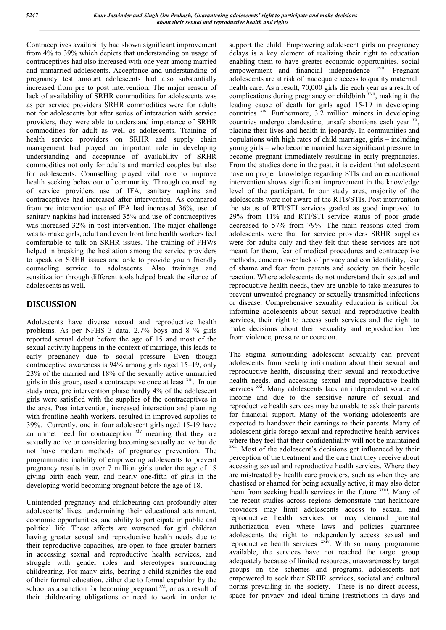Contraceptives availability had shown significant improvement from 4% to 39% which depicts that understanding on usage of contraceptives had also increased with one year among married and unmarried adolescents. Acceptance and understanding of pregnancy test amount adolescents had also substantially increased from pre to post intervention. The major reason of lack of availability of SRHR commodities for adolescents was as per service providers SRHR commodities were for adults not for adolescents but after series of interaction with service providers, they were able to understand importance of SRHR commodities for adult as well as adolescents. Training of health service providers on SRHR and supply chain management had played an important role in developing understanding and acceptance of availability of SRHR commodities not only for adults and married couples but also for adolescents. Counselling played vital role to improve health seeking behaviour of community. Through counselling of service providers use of IFA, sanitary napkins and contraceptives had increased after intervention. As compared from pre intervention use of IFA had increased 36%, use of sanitary napkins had increased 35% and use of contraceptives was increased 32% in post intervention. The major challenge was to make girls, adult and even front line health workers feel comfortable to talk on SRHR issues. The training of FHWs helped in breaking the hesitation among the service providers to speak on SRHR issues and able to provide youth friendly counseling service to adolescents. Also trainings and sensitization through different tools helped break the silence of adolescents as well.

# **DISCUSSION**

Adolescents have diverse sexual and reproductive health problems. As per NFHS–3 data, 2.7% boys and 8 % girls reported sexual debut before the age of 15 and most of the sexual activity happens in the context of marriage, this leads to early pregnancy due to social pressure. Even though contraceptive awareness is 94% among girls aged 15–19, only 23% of the married and 18% of the sexually active unmarried girls in this group, used a contraceptive once at least <sup>xiii</sup>. In our study area, pre intervention phase hardly 4% of the adolescent girls were satisfied with the supplies of the contraceptives in the area. Post intervention, increased interaction and planning with frontline health workers, resulted in improved supplies to 39%. Currently, one in four adolescent girls aged 15-19 have an unmet need for contraception xiv meaning that they are sexually active or considering becoming sexually active but do not have modern methods of pregnancy prevention. The programmatic inability of empowering adolescents to prevent pregnancy results in over 7 million girls under the age of 18 giving birth each year, and nearly one-fifth of girls in the developing world becoming pregnant before the age of 18.

Unintended pregnancy and childbearing can profoundly alter adolescents' lives, undermining their educational attainment, economic opportunities, and ability to participate in public and political life. These affects are worsened for girl children having greater sexual and reproductive health needs due to their reproductive capacities, are open to face greater barriers in accessing sexual and reproductive health services, and struggle with gender roles and stereotypes surrounding childrearing. For many girls, bearing a child signifies the end of their formal education, either due to formal expulsion by the school as a sanction for becoming pregnant xvi, or as a result of their childrearing obligations or need to work in order to

support the child. Empowering adolescent girls on pregnancy delays is a key element of realizing their right to education enabling them to have greater economic opportunities, social empowerment and financial independence <sup>xvii</sup>. Pregnant adolescents are at risk of inadequate access to quality maternal health care. As a result, 70,000 girls die each year as a result of complications during pregnancy or childbirth xvii, making it the leading cause of death for girls aged 15-19 in developing countries <sup>xix</sup>. Furthermore, 3.2 million minors in developing countries undergo clandestine, unsafe abortions each year xx, placing their lives and health in jeopardy. In communities and populations with high rates of child marriage, girls – including young girls – who become married have significant pressure to become pregnant immediately resulting in early pregnancies. From the studies done in the past, it is evident that adolescent have no proper knowledge regarding STIs and an educational intervention shows significant improvement in the knowledge level of the participant. In our study area, majority of the adolescents were not aware of the RTIs/STIs. Post intervention the status of RTI/STI services graded as good improved to 29% from 11% and RTI/STI service status of poor grade decreased to 57% from 79%. The main reasons cited from adolescents were that for service providers SRHR supplies were for adults only and they felt that these services are not meant for them, fear of medical procedures and contraceptive methods, concern over lack of privacy and confidentiality, fear of shame and fear from parents and society on their hostile reaction. Where adolescents do not understand their sexual and reproductive health needs, they are unable to take measures to prevent unwanted pregnancy or sexually transmitted infections or disease. Comprehensive sexuality education is critical for informing adolescents about sexual and reproductive health services, their right to access such services and the right to make decisions about their sexuality and reproduction free from violence, pressure or coercion.

The stigma surrounding adolescent sexuality can prevent adolescents from seeking information about their sexual and reproductive health, discussing their sexual and reproductive health needs, and accessing sexual and reproductive health services xxi. Many adolescents lack an independent source of income and due to the sensitive nature of sexual and reproductive health services may be unable to ask their parents for financial support. Many of the working adolescents are expected to handover their earnings to their parents. Many of adolescent girls forego sexual and reproductive health services where they feel that their confidentiality will not be maintained xxii. Most of the adolescent's decisions get influenced by their perception of the treatment and the care that they receive about accessing sexual and reproductive health services. Where they are mistreated by health care providers, such as when they are chastised or shamed for being sexually active, it may also deter them from seeking health services in the future xxiii. Many of the recent studies across regions demonstrate that healthcare providers may limit adolescents access to sexual and reproductive health services or may demand parental authorization even where laws and policies guarantee adolescents the right to independently access sexual and reproductive health services xxiv. With so many programme available, the services have not reached the target group adequately because of limited resources, unawareness by target groups on the schemes and programs, adolescents not empowered to seek their SRHR services, societal and cultural norms prevailing in the society. There is no direct access, space for privacy and ideal timing (restrictions in days and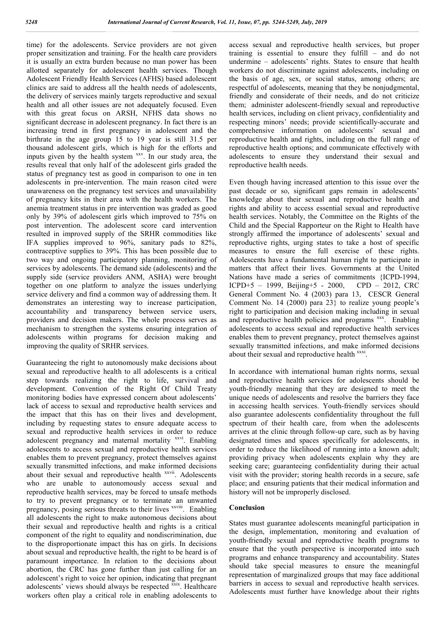time) for the adolescents. Service providers are not given proper sensitization and training. For the health care providers it is usually an extra burden because no man power has been allotted separately for adolescent health services. Though Adolescent Friendly Health Services (AFHS) based adolescent clinics are said to address all the health needs of adolescents, the delivery of services mainly targets reproductive and sexual health and all other issues are not adequately focused. Even with this great focus on ARSH, NFHS data shows no significant decrease in adolescent pregnancy. In fact there is an increasing trend in first pregnancy in adolescent and the birthrate in the age group 15 to 19 year is still 31.5 per thousand adolescent girls, which is high for the efforts and inputs given by the health system xxv. In our study area, the results reveal that only half of the adolescent girls graded the status of pregnancy test as good in comparison to one in ten adolescents in pre-intervention. The main reason cited were unawareness on the pregnancy test services and unavailability of pregnancy kits in their area with the health workers. The anemia treatment status in pre intervention was graded as good only by 39% of adolescent girls which improved to 75% on post intervention. The adolescent score card intervention resulted in improved supply of the SRHR commodities like IFA supplies improved to 96%, sanitary pads to 82%, contraceptive supplies to 39%. This has been possible due to two way and ongoing participatory planning, monitoring of services by adolescents. The demand side (adolescents) and the supply side (service providers ANM, ASHA) were brought together on one platform to analyze the issues underlying service delivery and find a common way of addressing them. It demonstrates an interesting way to increase participation, accountability and transparency between service users, providers and decision makers. The whole process serves as mechanism to strengthen the systems ensuring integration of adolescents within programs for decision making and improving the quality of SRHR services.

Guaranteeing the right to autonomously make decisions about sexual and reproductive health to all adolescents is a critical step towards realizing the right to life, survival and development. Convention of the Right Of Child Treaty monitoring bodies have expressed concern about adolescents' lack of access to sexual and reproductive health services and the impact that this has on their lives and development, including by requesting states to ensure adequate access to sexual and reproductive health services in order to reduce adolescent pregnancy and maternal mortality xxvi. Enabling adolescents to access sexual and reproductive health services enables them to prevent pregnancy, protect themselves against sexually transmitted infections, and make informed decisions about their sexual and reproductive health xxvii. Adolescents who are unable to autonomously access sexual and reproductive health services, may be forced to unsafe methods to try to prevent pregnancy or to terminate an unwanted pregnancy, posing serious threats to their lives xxviii. Enabling all adolescents the right to make autonomous decisions about their sexual and reproductive health and rights is a critical component of the right to equality and nondiscrimination, due to the disproportionate impact this has on girls. In decisions about sexual and reproductive health, the right to be heard is of paramount importance. In relation to the decisions about abortion, the CRC has gone further than just calling for an adolescent's right to voice her opinion, indicating that pregnant adolescents' views should always be respected  $\frac{xx}{xx}$ . Healthcare workers often play a critical role in enabling adolescents to

access sexual and reproductive health services, but proper training is essential to ensure they fulfill – and do not undermine – adolescents' rights. States to ensure that health workers do not discriminate against adolescents, including on the basis of age, sex, or social status, among others; are respectful of adolescents, meaning that they be nonjudgmental, friendly and considerate of their needs, and do not criticize them; administer adolescent-friendly sexual and reproductive health services, including on client privacy, confidentiality and respecting minors' needs; provide scientifically-accurate and comprehensive information on adolescents' sexual and reproductive health and rights, including on the full range of reproductive health options; and communicate effectively with adolescents to ensure they understand their sexual and reproductive health needs.

Even though having increased attention to this issue over the past decade or so, significant gaps remain in adolescents' knowledge about their sexual and reproductive health and rights and ability to access essential sexual and reproductive health services. Notably, the Committee on the Rights of the Child and the Special Rapporteur on the Right to Health have strongly affirmed the importance of adolescents' sexual and reproductive rights, urging states to take a host of specific measures to ensure the full exercise of these rights. Adolescents have a fundamental human right to participate in matters that affect their lives. Governments at the United Nations have made a series of commitments {ICPD-1994, ICPD+5 – 1999, Beijing+5 - 2000, CPD – 2012, CRC General Comment No. 4 (2003) para 13, CESCR General Comment No. 14 (2000) para 23} to realize young people's right to participation and decision making including in sexual and reproductive health policies and programs xxx. Enabling adolescents to access sexual and reproductive health services enables them to prevent pregnancy, protect themselves against sexually transmitted infections, and make informed decisions about their sexual and reproductive health xxxi.

In accordance with international human rights norms, sexual and reproductive health services for adolescents should be youth-friendly meaning that they are designed to meet the unique needs of adolescents and resolve the barriers they face in accessing health services. Youth-friendly services should also guarantee adolescents confidentiality throughout the full spectrum of their health care, from when the adolescents arrives at the clinic through follow-up care, such as by having designated times and spaces specifically for adolescents, in order to reduce the likelihood of running into a known adult; providing privacy when adolescents explain why they are seeking care; guaranteeing confidentiality during their actual visit with the provider; storing health records in a secure, safe place; and ensuring patients that their medical information and history will not be improperly disclosed.

## **Conclusion**

States must guarantee adolescents meaningful participation in the design, implementation, monitoring and evaluation of youth-friendly sexual and reproductive health programs to ensure that the youth perspective is incorporated into such programs and enhance transparency and accountability. States should take special measures to ensure the meaningful representation of marginalized groups that may face additional barriers in access to sexual and reproductive health services. Adolescents must further have knowledge about their rights